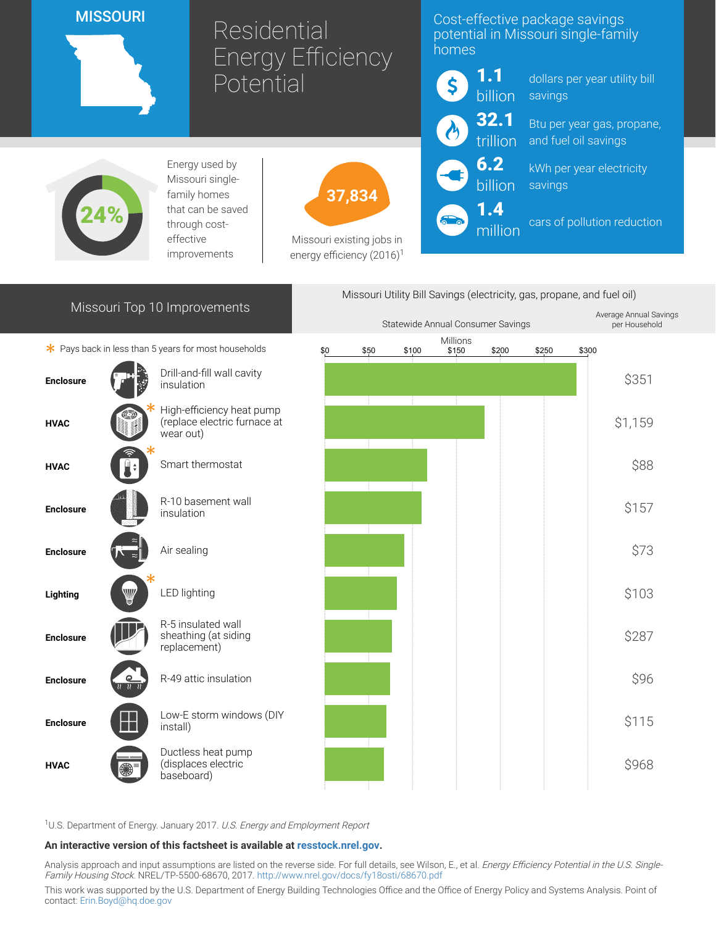### **MISSOURI**

# Residential Energy Efficiency **Potential**

# Cost-effective package savings potential in Missouri single-family homes



million

dollars per year utility bill savings

Btu per year gas, propane, and fuel oil savings

kWh per year electricity savings

cars of pollution reduction



Energy used by Missouri singlefamily homes that can be saved through costeffective improvements



Missouri existing jobs in energy efficiency  $(2016)^1$ 

# Missouri Top 10 Improvements

 $*$  Pays back in less than 5 years for most households





<sup>1</sup>U.S. Department of Energy. January 2017. U.S. Energy and Employment Report

#### An interactive version of this factsheet is available at [resstock.nrel.gov.](https://resstock.nrel.gov/)

Analysis approach and input assumptions are listed on the reverse side. For full details, see Wilson, E., et al. Energy Efficiency Potential in the U.S. Single-Family Housing Stock. NREL/TP-5500-68670, 2017. <http://www.nrel.gov/docs/fy18osti/68670.pdf>

This work was supported by the U.S. Department of Energy Building Technologies Office and the Office of Energy Policy and Systems Analysis. Point of contact: [Erin.Boyd@hq.doe.gov](mailto:Erin.Boyd@hq.doe.gov)